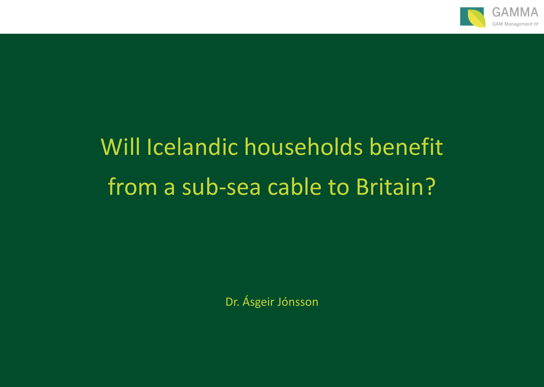

# Will Icelandic households benefit from a sub-sea cable to Britain?

Dr. Ásgeir Jónsson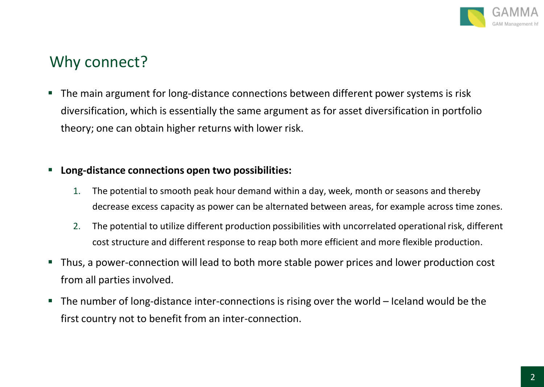

#### Why connect?

 The main argument for long-distance connections between different power systems is risk diversification, which is essentially the same argument as for asset diversification in portfolio theory; one can obtain higher returns with lower risk.

#### **Long-distance connections open two possibilities:**

- 1. The potential to smooth peak hour demand within a day, week, month or seasons and thereby decrease excess capacity as power can be alternated between areas, for example across time zones.
- 2. The potential to utilize different production possibilities with uncorrelated operational risk, different cost structure and different response to reap both more efficient and more flexible production.
- Thus, a power-connection will lead to both more stable power prices and lower production cost from all parties involved.
- $\blacksquare$  The number of long-distance inter-connections is rising over the world Iceland would be the first country not to benefit from an inter-connection.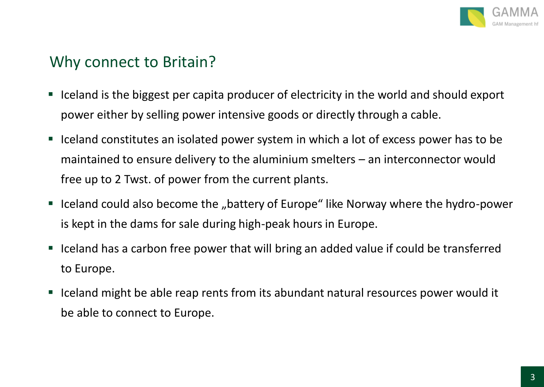

#### Why connect to Britain?

- Iceland is the biggest per capita producer of electricity in the world and should export power either by selling power intensive goods or directly through a cable.
- Iceland constitutes an isolated power system in which a lot of excess power has to be maintained to ensure delivery to the aluminium smelters – an interconnector would free up to 2 Twst. of power from the current plants.
- Iceland could also become the "battery of Europe" like Norway where the hydro-power is kept in the dams for sale during high-peak hours in Europe.
- Iceland has a carbon free power that will bring an added value if could be transferred to Europe.
- Iceland might be able reap rents from its abundant natural resources power would it be able to connect to Europe.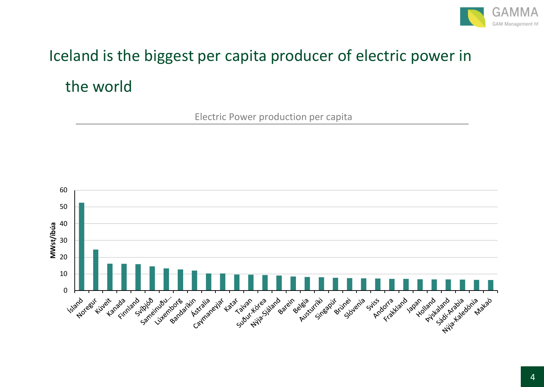

## Iceland is the biggest per capita producer of electric power in the world

Electric Power production per capita

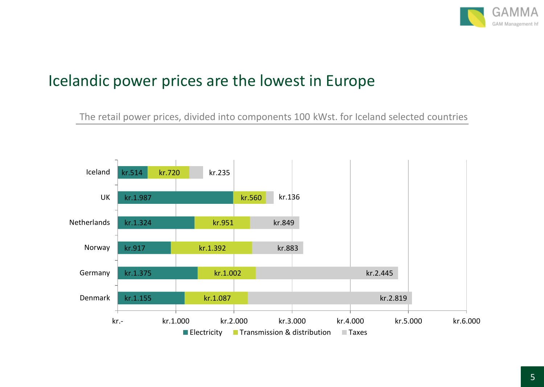

#### Icelandic power prices are the lowest in Europe

The retail power prices, divided into components 100 kWst. for Iceland selected countries

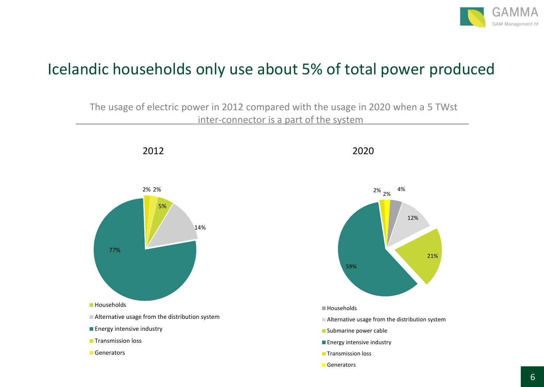

#### Icelandic households only use about 5% of total power produced

The usage of electric power in 2012 compared with the usage in 2020 when a 5 TWst inter-connector is a part of the system

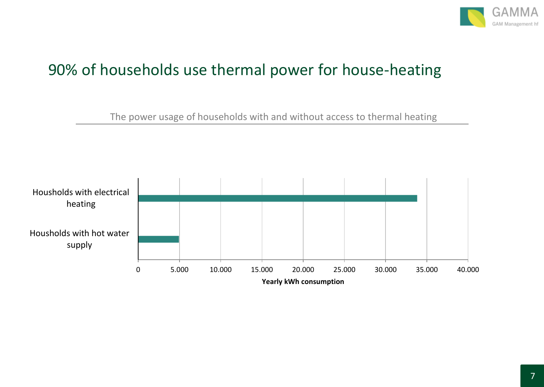

### 90% of households use thermal power for house-heating

The power usage of households with and without access to thermal heating

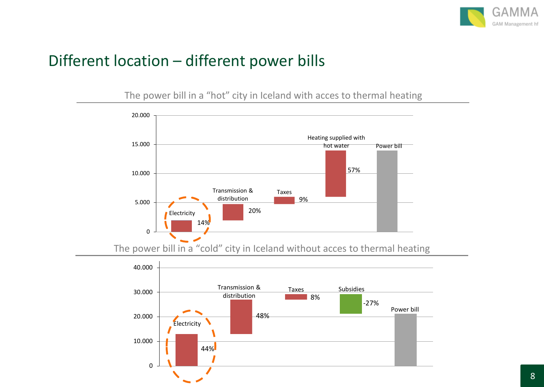

#### Different location – different power bills

The power bill in a "hot" city in Iceland with acces to thermal heating



The power bill in a "cold" city in Iceland without acces to thermal heating

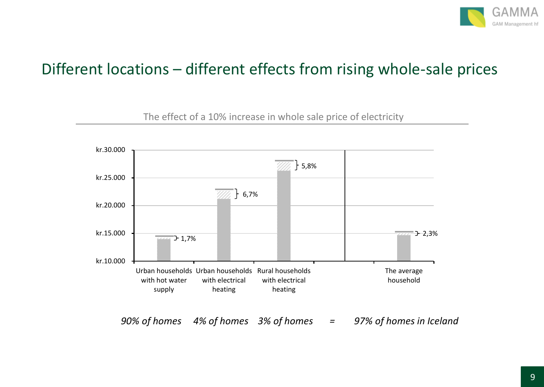

#### Different locations – different effects from rising whole-sale prices

 kr.10.000 kr.15.000 kr.20.000 kr.25.000 kr.30.000 Urban households Urban households Rural households with hot water supply with electrical heating with electrical heating The average household  $-1,7%$  $\uparrow$  6,7%  $+ 5,8%$  $-2,3%$ 

The effect of a 10% increase in whole sale price of electricity

*90% of homes 4% of homes 3% of homes = 97% of homes in Iceland*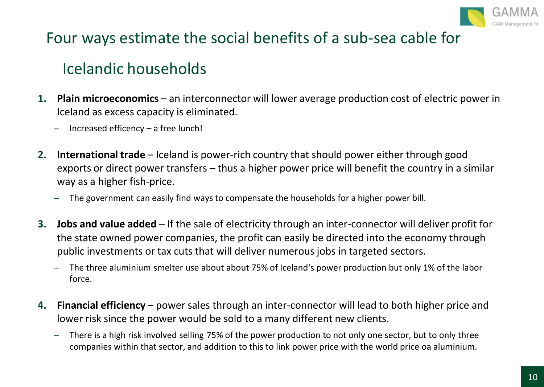

#### Four ways estimate the social benefits of a sub-sea cable for

#### Icelandic households

- **1. Plain microeconomics**  an interconnector will lower average production cost of electric power in Iceland as excess capacity is eliminated.
	- ̶ Increased efficency a free lunch!
- **2. International trade**  Iceland is power-rich country that should power either through good exports or direct power transfers – thus a higher power price will benefit the country in a similar way as a higher fish-price.
	- ̶ The government can easily find ways to compensate the households for a higher power bill.
- **3. Jobs and value added**  If the sale of electricity through an inter-connector will deliver profit for the state owned power companies, the profit can easily be directed into the economy through public investments or tax cuts that will deliver numerous jobs in targeted sectors.
	- ̶ The three aluminium smelter use about about 75% of Iceland's power production but only 1% of the labor force.
- **4. Financial efficiency**  power sales through an inter-connector will lead to both higher price and lower risk since the power would be sold to a many different new clients.
	- ̶ There is a high risk involved selling 75% of the power production to not only one sector, but to only three companies within that sector, and addition to this to link power price with the world price oa aluminium.